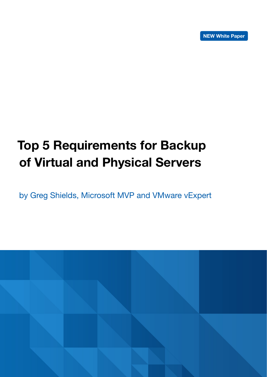# Top 5 Requirements for Backup of Virtual and Physical Servers

by Greg Shields, Microsoft MVP and VMware vExpert

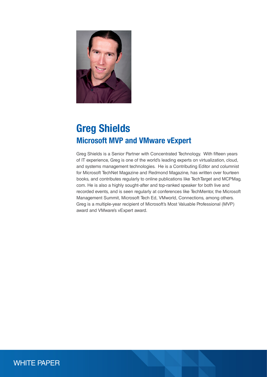

## Greg Shields Microsoft MVP and VMware vExpert

Greg Shields is a Senior Partner with Concentrated Technology. With fifteen years of IT experience, Greg is one of the world's leading experts on virtualization, cloud, and systems management technologies. He is a Contributing Editor and columnist for Microsoft TechNet Magazine and Redmond Magazine, has written over fourteen books, and contributes regularly to online publications like TechTarget and MCPMag. com. He is also a highly sought-after and top-ranked speaker for both live and recorded events, and is seen regularly at conferences like TechMentor, the Microsoft Management Summit, Microsoft Tech Ed, VMworld, Connections, among others. Greg is a multiple-year recipient of Microsoft's Most Valuable Professional (MVP) award and VMware's vExpert award.

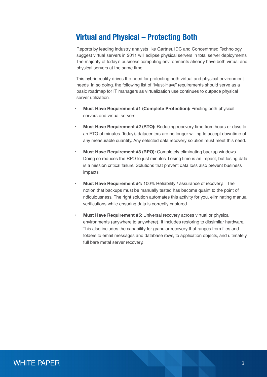## Virtual and Physical – Protecting Both

Reports by leading industry analysts like Gartner, IDC and Concentrated Technology suggest virtual servers in 2011 will eclipse physical servers in total server deployments. The majority of today's business computing environments already have both virtual and physical servers at the same time.

This hybrid reality drives the need for protecting both virtual and physical environment needs. In so doing, the following list of "Must-Have" requirements should serve as a basic roadmap for IT managers as virtualization use continues to outpace physical server utilization.

- Must Have Requirement #1 (Complete Protection): Precting both physical servers and virtual servers
- Must Have Requirement #2 (RTO): Reducing recovery time from hours or days to an RTO of minutes. Today's datacenters are no longer willing to accept downtime of any measurable quantity. Any selected data recovery solution must meet this need.
- Must Have Requirement #3 (RPO): Completely eliminating backup windows. Doing so reduces the RPO to just minutes. Losing time is an impact, but losing data is a mission critical failure. Solutions that prevent data loss also prevent business impacts.
- Must Have Requirement #4: 100% Reliability / assurance of recovery. The notion that backups must be manually tested has become quaint to the point of ridiculousness. The right solution automates this activity for you, eliminating manual verifications while ensuring data is correctly captured.
- Must Have Requirement #5: Universal recovery across virtual or physical environments (anywhere to anywhere). It includes restoring to dissimilar hardware. This also includes the capability for granular recovery that ranges from files and folders to email messages and database rows, to application objects, and ultimately full bare metal server recovery.

### WHITE PAPER **3** 3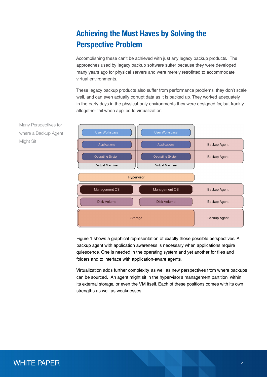## Achieving the Must Haves by Solving the Perspective Problem

Accomplishing these can't be achieved with just any legacy backup products. The approaches used by legacy backup software suffer because they were developed many years ago for physical servers and were merely retrofitted to accommodate virtual environments.

These legacy backup products also suffer from performance problems, they don't scale well, and can even actually corrupt data as it is backed up. They worked adequately in the early days in the physical-only environments they were designed for, but frankly altogether fail when applied to virtualization.



Figure 1 shows a graphical representation of exactly those possible perspectives. A backup agent with application awareness is necessary when applications require quiescence. One is needed in the operating system and yet another for files and folders and to interface with application-aware agents.

Virtualization adds further complexity, as well as new perspectives from where backups can be sourced. An agent might sit in the hypervisor's management partition, within its external storage, or even the VM itself. Each of these positions comes with its own strengths as well as weaknesses.



## WHITE PAPER <sup>4</sup>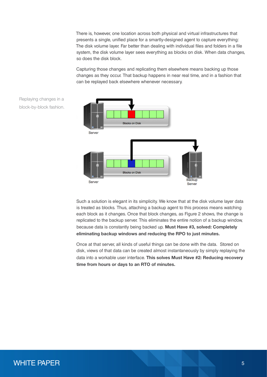There is, however, one location across both physical and virtual infrastructures that presents a single, unified place for a smartly-designed agent to capture everything: The disk volume layer. Far better than dealing with individual files and folders in a file system, the disk volume layer sees everything as blocks on disk. When data changes, so does the disk block.

Capturing those changes and replicating them elsewhere means backing up those changes as they occur. That backup happens in near real time, and in a fashion that can be replayed back elsewhere whenever necessary.





Such a solution is elegant in its simplicity. We know that at the disk volume layer data is treated as blocks. Thus, attaching a backup agent to this process means watching each block as it changes. Once that block changes, as Figure 2 shows, the change is replicated to the backup server. This eliminates the entire notion of a backup window, because data is constantly being backed up. Must Have #3, solved: Completely eliminating backup windows and reducing the RPO to just minutes.

Once at that server, all kinds of useful things can be done with the data. Stored on disk, views of that data can be created almost instantaneously by simply replaying the data into a workable user interface. This solves Must Have #2: Reducing recovery time from hours or days to an RTO of minutes.